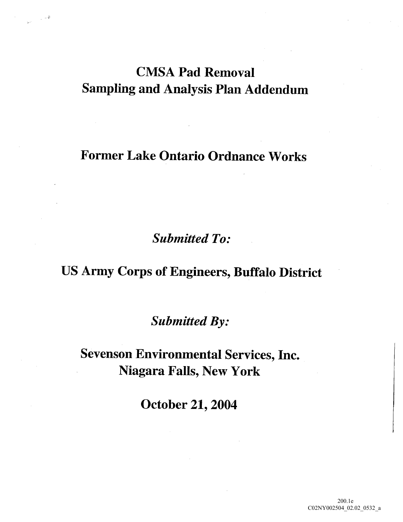## CMSA Pad Removal Sampling and Analysis Plan Addendum

### Former Lake Ontario Ordnance Works

**Submitted To:** 

### US Army Corps of Engineers, Buffalo District

Submitted By:

Sevenson Environmental Services, Inc. Niagara Falls, New York

October 21, 2004

200.1e C02NY002504\_02.02\_0532\_a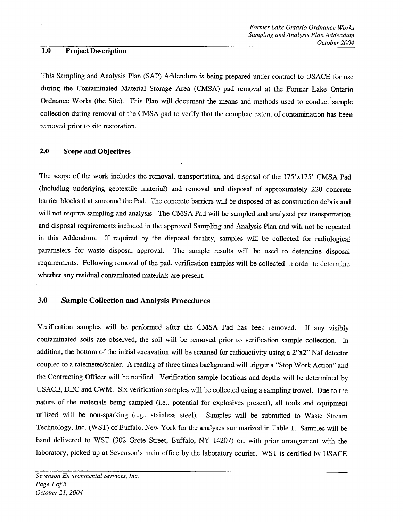#### 1.0 Project Description

This Sampling and Analysis Plan (SAP) Addendum is being prepared under contract to USACE for use during the Contaminated Material Storage Area CMSA pad removal at the Former Lake Ontario Ordnance Works (the Site). This Plan will document the means and methods used to conduct sample collection during removal of the CMSA pad to verify that the complete extent of contamination has been removed prior to site restoration

#### 2.0 Scope and Objectives

The scope of the work includes the removal, transportation, and disposal of the  $175'x175'$  CMSA Pad (including underlying geotextile material) and removal and disposal of approximately 220 concrete barrier blocks that surround the Pad. The concrete barriers will be disposed of as construction debris and will not require sampling and analysis. The CMSA Pad will be sampled and analyzed per transportation and disposal requirements included in the approved Sampling and Analysis Plan and will not be repeated in this Addendum. If required by the disposal facility, samples will be collected for radiological parameters for waste disposal approval. The sample results will be used to determine disposal requirements. Following removal of the pad, verification samples will be collected in order to determine whether any residual contaminated materials are present

#### 3.0 Sample Collection and Analysis Procedures

Verification samples will be performed after the CMSA Pad has been removed. If any visibly contaminated soils are observed, the soil will be removed prior to verification sample collection. In addition, the bottom of the initial excavation will be scanned for radioactivity using a  $2^{\prime\prime}x2^{\prime\prime}$  Nal detector coupled to a ratemeter/scaler. A reading of three times background will trigger a "Stop Work Action" and the Contracting Officer will be notified. Verification sample locations and depths will be determined by USACE, DEC and CWM. Six verification samples will be collected using a sampling trowel. Due to the nature of the materials being sampled (i.e., potential for explosives present), all tools and equipment utilized will be non-sparking (e.g., stainless steel). Samples will be submitted to Waste Stream Technology, Inc. (WST) of Buffalo, New York for the analyses summarized in Table 1. Samples will be hand delivered to WST (302 Grote Street, Buffalo, NY 14207) or, with prior arrangement with the laboratory, picked up at Sevenson's main office by the laboratory courier. WST is certified by USACE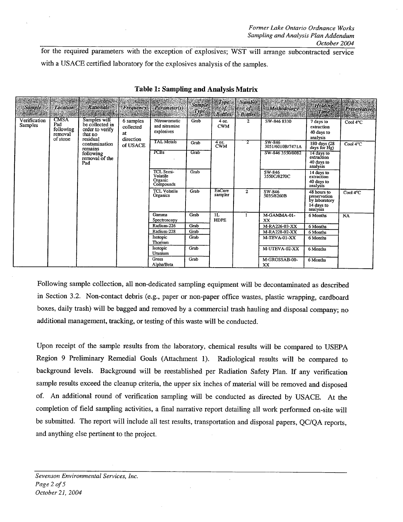for the required parameters with the exception of explosives; WST will arrange subcontracted service with a USACE certified laboratory for the explosives analysis of the samples.

| <b>Sample</b>           | <b>Location®</b>                                       | Rationale                                                                                                                                   | <b>Frequency</b>                                      | Parameter(s)                                  | Sample<br>Type        | Type<br>$\mathbb{Q}$ of $\mathbb{Z}$<br><b>Bottles</b> | Number<br>$\mathbb{R}$ of $\mathfrak{g}$<br><b>Bottless</b> | Methodology                | <b>Holding</b><br>Time                                                 | <b>Preservative.</b> |
|-------------------------|--------------------------------------------------------|---------------------------------------------------------------------------------------------------------------------------------------------|-------------------------------------------------------|-----------------------------------------------|-----------------------|--------------------------------------------------------|-------------------------------------------------------------|----------------------------|------------------------------------------------------------------------|----------------------|
| Verification<br>Samples | <b>CMSA</b><br>Pad<br>following<br>removal<br>of stone | Samples will<br>be collected in<br>order to verify<br>that no<br>residual<br>contamination<br>remains<br>following<br>removal of the<br>Pad | 6 samples<br>collected<br>at<br>direction<br>of USACE | Nitroaromatic<br>and nitramine<br>explosives  | Grab                  | 4 oz.<br><b>CWM</b>                                    | $\mathbf{2}$                                                | SW-846 8330                | 7 days to<br>extraction<br>40 days to<br>analysis                      | Cool 4°C             |
|                         |                                                        |                                                                                                                                             |                                                       | <b>TAL Metals</b>                             | Grab                  | 4 oz.<br><b>CWM</b>                                    | 2                                                           | SW 846<br>3051/6010B/7471A | 180 days (28<br>days for Hg)                                           | Cool 4°C             |
|                         |                                                        |                                                                                                                                             |                                                       | PCBs                                          | $G$ ra $\overline{b}$ |                                                        |                                                             | SW-846 3550/8082           | 14 days to<br>extraction<br>40 days to<br>analysis                     |                      |
|                         |                                                        |                                                                                                                                             |                                                       | TCL Semi-<br>Volatile<br>Organic<br>Compounds | Grab                  |                                                        |                                                             | SW-846<br>3550C/8270C      | 14 days to<br>extraction<br>40 days to<br>analysis                     |                      |
|                         |                                                        |                                                                                                                                             |                                                       | <b>TCL Volatile</b><br>Organics               | Grab                  | EnCore<br>sampler                                      | $\mathbf{2}$                                                | SW-846<br>5035/8260B       | 48 hours to<br>preservation<br>by laboratory<br>14 days to<br>analysis | Cool 4°C             |
|                         |                                                        |                                                                                                                                             |                                                       | Gamma<br>Spectroscopy                         | Grab                  | $1\overline{L}$<br><b>HDPE</b>                         |                                                             | M-GAMMA-01-<br>XX.         | 6 Months                                                               | <b>NA</b>            |
|                         |                                                        |                                                                                                                                             |                                                       | Radium-226                                    | Grab                  |                                                        |                                                             | M-RA226-03-XX              | 6 Months                                                               |                      |
|                         |                                                        |                                                                                                                                             |                                                       | Radium-228                                    | Grab                  |                                                        |                                                             | M-RA228-02-XX              | 6 Months                                                               |                      |
|                         |                                                        |                                                                                                                                             |                                                       | Isotopic<br>Thorium                           | Grab                  |                                                        |                                                             | M-TEVA-01-XX               | 6 Months                                                               |                      |
|                         |                                                        |                                                                                                                                             |                                                       | Isotopic<br>Uranium                           | Grab                  |                                                        |                                                             | M-UTEVA-02-XX              | 6 Months                                                               |                      |
|                         |                                                        |                                                                                                                                             |                                                       | <b>Gross</b><br>Alpha/Beta                    | Grab                  |                                                        |                                                             | M-GROSSAB-00-<br>XX        | 6 Months                                                               |                      |

Table 1: Sampling and Analysis Matrix

Following sample collection, all non-dedicated sampling equipment will be decontaminated as described in Section 3.2. Non-contact debris (e.g., paper or non-paper office wastes, plastic wrapping, cardboard boxes, daily trash) will be bagged and removed by a commercial trash hauling and disposal company; no additional management, tracking, or testing of this waste will be conducted.

Upon receipt of the sample results from the laboratory, chemical results will be compared to USEPA Region 9 Preliminary Remedial Goals (Attachment 1). Radiological results will be compared to background levels. Background will be reestablished per Radiation Safety Plan. If any verification sample results exceed the cleanup criteria, the upper six inches of material will be removed and disposed of. An additional round of verification sampling will be conducted as directed by USACE. At the completion of field sampling activities, a final narrative report detailing all work performed on-site will be submitted. The report will include all test results, transportation and disposal papers, QC/QA reports, and anything else pertinent to the project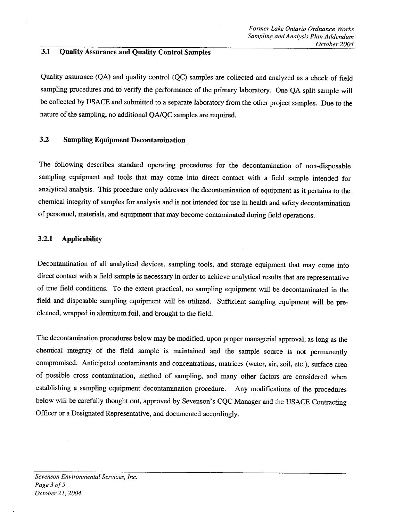#### 3.1 Quality Assurance and Quality Control Samples

Quality assurance (QA) and quality control (QC) samples are collected and analyzed as a check of field sampling procedures and to verify the performance of the primary laboratory. One QA split sample will be collected by USACE and submitted to a separate laboratory from the other project samples. Due to the nature of the sampling, no additional QA/QC samples are required.

#### 3.2 Sampling Equipment Decontamination

The following describes standard operating procedures for the decontamination of non-disposable sampling equipment and tools that may come into direct contact with a field sample intended for analytical analysis. This procedure only addresses the decontamination of equipment as it pertains to the chemical integrity of samples for analysis and is not intended for use in health and safety decontamination of personnel, materials, and equipment that may become contaminated during field operations.

#### 3.2.1 Applicability

Decontamination of all analytical devices, sampling tools, and storage equipment that may come into direct contact with a field sample is necessary in order to achieve analytical results that are representative of true field conditions. To the extent practical, no sampling equipment will be decontaminated in the field and disposable sampling equipment will be utilized. Sufficient sampling equipment will be precleaned, wrapped in aluminum foil, and brought to the field.

The decontamination procedures below may be modified, upon proper managerial approval, as long as the chemical integrity of the field sample is maintained and the sample source is not permanently compromised. Anticipated contaminants and concentrations, matrices (water, air, soil, etc.), surface area of possible cross contamination, method of sampling, and many other factors are considered when establishing a sampling equipment decontamination procedure. Any modifications of the procedures below will be carefully thought out, approved by Sevenson's CQC Manager and the USACE Contracting Officer or a Designated Representative, and documented accordingly.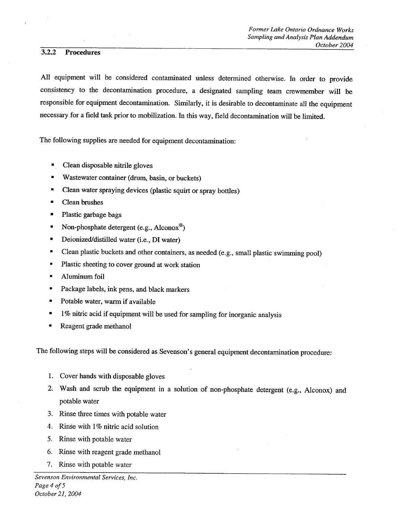#### 3.2.2 Procedures

All equipment will be considered contaminated unless determined otherwise. In order to provide consistency to the decontamination procedure, a designated sampling team crewmember will be responsible for equipment decontamination. Similarly, it is desirable to decontaminate all the equipment necessary for a field task prior to mobilization. In this way, field decontamination will be limited.

The following supplies are needed for equipment decontamination

- Clean disposable nitrile gloves ю
- Wastewater container (drum, basin, or buckets)
- Clean water spraying devices (plastic squirt or spray bottles)  $\blacksquare$
- × Clean brushes
- $\bullet$ Plastic garbage bags
- $\blacksquare$ Non-phosphate detergent (e.g.,  $\text{Alconox}^{\circledcirc}$ )
- $\blacksquare$ Deionized/distilled water (i.e., DI water)
- $\blacksquare$ Clean plastic buckets and other containers, as needed (e.g., small plastic swimming pool)
- Plastic sheeting to cover ground at work station  $\blacksquare$
- Aluminum foil
- Package labels, ink pens, and black markers
- Potable water, warm if available
- 1% nitric acid if equipment will be used for sampling for inorganic analysis
- Reagent grade methanol

The following steps will be considered as Sevenson's general equipment decontamination procedure:

- 1. Cover hands with disposable gloves
- Wash and scrub the equipment in a solution of non-phosphate detergent (e.g., Alconox) and  $2.$ potable water
- 3. Rinse three times with potable water
- 4. Rinse with 1% nitric acid solution
- 5. Rinse with potable water
- 6. Rinse with reagent grade methanol
- 7. Rinse with potable water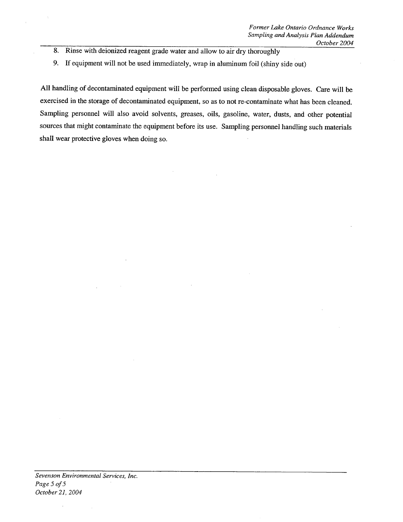- 8. Rinse with deionized reagent grade water and allow to air dry thoroughly
- 9. If equipment will not be used immediately, wrap in aluminum foil (shiny side out)

All handling of decontaminated equipment will be performed using clean disposable gloves. Care will be exercised in the storage of decontaminated equipment, so as to not re-contaminate what has been cleaned. Sampling personnel will also avoid solvents, greases, oils, gasoline, water, dusts, and other potential sources that might contaminate the equipment before its use. Sampling personnel handling such materials shall wear protective gloves when doing so

 $\sim$ 

 $\epsilon$ 

 $\mathbb{R}^2$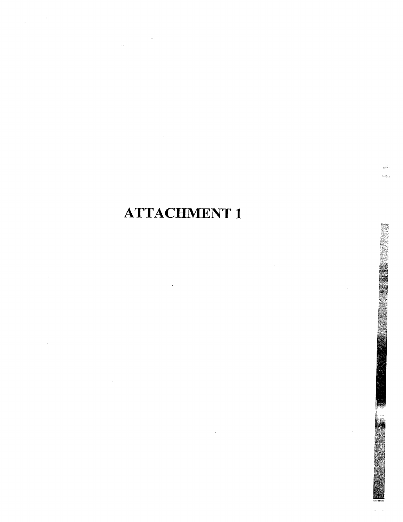# **ATTACHMENT 1**

دريس  $122\,km$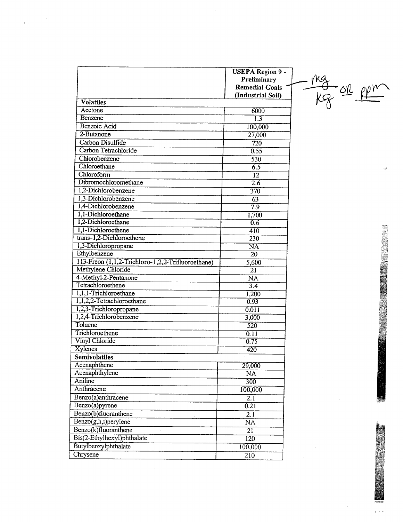|                                                   | <b>USEPA Region 9 -</b><br>Preliminary<br><b>Remedial Goals</b> |
|---------------------------------------------------|-----------------------------------------------------------------|
|                                                   | (Industrial Soil)                                               |
| <b>Volatiles</b>                                  |                                                                 |
| Acetone                                           | 6000                                                            |
| Benzene                                           | $\overline{1.3}$                                                |
| Benzoic Acid                                      | 100,000                                                         |
| 2-Butanone                                        | 27,000                                                          |
| Carbon Disulfide                                  | $\overline{720}$                                                |
| Carbon Tetrachloride                              | 0.55                                                            |
| Chlorobenzene                                     | 530                                                             |
| Chloroethane                                      | 6.5                                                             |
| Chloroform                                        | $\overline{12}$                                                 |
| Dibromochloromethane                              | $\overline{2.6}$                                                |
| 1,2-Dichlorobenzene                               | $\overline{370}$                                                |
| 1,3-Dichlorobenzene                               | $\overline{63}$                                                 |
| 1,4-Dichlorobenzene                               | 7.9                                                             |
| 1,1-Dichloroethane                                | 1,700                                                           |
| 1,2-Dichloroethane                                | 0.6                                                             |
| 1,1-Dichloroethene                                | 410                                                             |
| trans-1,2-Dichloroethene                          | 230                                                             |
| 1,3-Dichloropropane                               | $\overline{\text{NA}}$                                          |
| Ethylbenzene                                      | $\overline{20}$                                                 |
| 113-Freon (1,1,2-Trichloro-1,2,2-Trifluoroethane) | 5,600                                                           |
| Methylene Chloride                                | $\overline{21}$                                                 |
| 4-Methyl-2-Pentanone                              | $\overline{\text{NA}}$                                          |
| Tetrachloroethene                                 | $\overline{3.4}$                                                |
| 1,1,1-Trichloroethane                             | 1,200                                                           |
| 1,1,2,2-Tetrachloroethane                         | 0.93                                                            |
| 1,2,3-Trichloropropane                            | 0.011                                                           |
| 1,2,4-Trichlorobenzene                            | 3,000                                                           |
| Toluene                                           | 520                                                             |
| Trichloroethene                                   | 0.11                                                            |
| Vinyl Chloride                                    | 0.75                                                            |
| Xylenes                                           | 420                                                             |
| Semivolatiles                                     |                                                                 |
| Acenaphthene                                      | 29,000                                                          |
| Acenaphthylene                                    | $\overline{\text{NA}}$                                          |
| Aniline                                           | $\overline{300}$                                                |
| Anthracene                                        | 100,000                                                         |
| Benzo(a)anthracene                                | $\overline{2.1}$                                                |
| Benzo(a)pyrene                                    | $\overline{0.21}$                                               |
| Benzo(b)fluoranthene                              | $\overline{2.1}$                                                |
| Benzo(g,h,i)perylene                              | $\overline{\text{NA}}$                                          |
| Benzo(k)fluoranthene                              | $\overline{21}$                                                 |
| Bis(2-Ethylhexyl)phthalate                        | 120                                                             |
| Butylbenzylphthalate                              | 100,000                                                         |
| Chrysene                                          | $2\overline{10}$                                                |
|                                                   |                                                                 |

 $\label{eq:2} \frac{1}{\mathcal{N}(1)}\left(\frac{1}{\mathcal{N}(1)}\right)^{1/2}$ 

 $\frac{mg}{kg}$  of  $\frac{pp}{f}$ 

 $\lesssim$  :

 $\hat{p}_i \neq \hat{p}_i$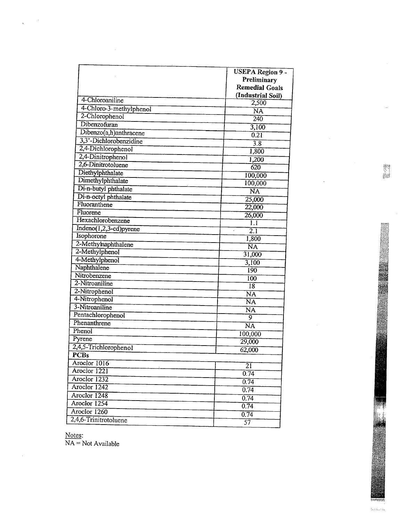|                          | <b>USEPA Region 9 -</b><br>Preliminary<br><b>Remedial Goals</b> |
|--------------------------|-----------------------------------------------------------------|
| 4-Chloroaniline          | (Industrial Soil)<br>2,500                                      |
| 4-Chloro-3-methylphenol  | $\overline{\text{NA}}$                                          |
| 2-Chlorophenol           | 240                                                             |
| Dibenzofuran             | 3,100                                                           |
| Dibenzo(a,h)anthracene   | 0.21                                                            |
| 3,3'-Dichlorobenzidine   | $\overline{3.8}$                                                |
| 2,4-Dichlorophenol       |                                                                 |
| 2,4-Dinitrophenol        | 1,800                                                           |
| 2,6-Dinitrotoluene       | 1,200                                                           |
| Diethylphthalate         | 620                                                             |
| Dimethylphthalate        | 100,000                                                         |
| Di-n-butyl phthalate     | 100,000                                                         |
| Di-n-octyl phthalate     | $\overline{NA}$                                                 |
| Fluoranthene             | 25,000                                                          |
| Fluorene                 | 22,000                                                          |
| Hexachlorobenzene        | 26,000                                                          |
| $Indeno(1,2,3-cd)pyrene$ | 1.1                                                             |
| Isophorone               | $\overline{2.1}$                                                |
| 2-Methylnaphthalene      | 1,800                                                           |
| 2-Methylphenol           | N <sub>A</sub>                                                  |
| 4-Methylphenol           | 31,000                                                          |
| Naphthalene              | 3,100                                                           |
| Nitrobenzene             | 190                                                             |
| 2-Nitroaniline           | 100                                                             |
| 2-Nitrophenol            | $\overline{18}$                                                 |
| 4-Nitrophenol            | $\overline{\text{NA}}$                                          |
| 3-Nitroaniline           | $\overline{\text{NA}}$                                          |
| Pentachlorophenol        | $\overline{\text{NA}}$                                          |
| Phenanthrene             | 9                                                               |
| Phenol                   | $\overline{\text{NA}}$                                          |
| Pyrene                   | 100,000                                                         |
| 2,4,5-Trichlorophenol    | 29,000                                                          |
| <b>PCBs</b>              | 62,000                                                          |
| Aroclor 1016             |                                                                 |
| Aroclor 1221             | $\overline{21}$                                                 |
| Aroclor 1232             | 0.74                                                            |
| Aroclor 1242             | 0.74                                                            |
| Aroclor 1248             | 0.74                                                            |
| Aroclor 1254             | 0.74                                                            |
| Aroclor $1260$           | 0.74                                                            |
| 2,4,6-Trinitrotoluene    | 0.74                                                            |
|                          | $\overline{57}$                                                 |

Notes  $NA = Not$  Available